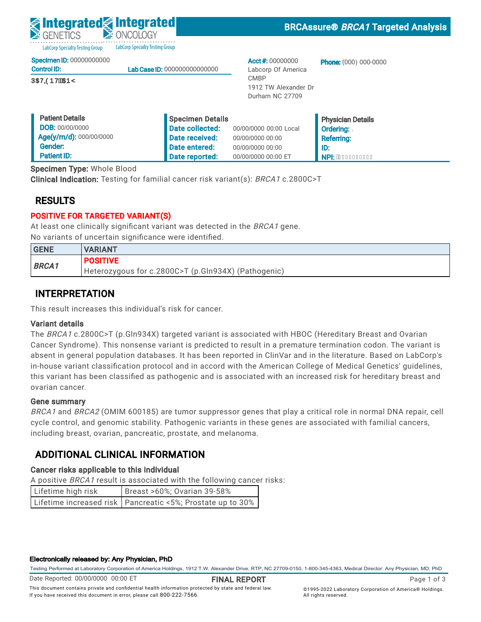LabCorp Specialty Testing Group LabCorp Specialty Testing Group

|  | <b>Specimen ID: 00000000000</b> |  |
|--|---------------------------------|--|
|  |                                 |  |

| <b>Control ID:</b>       | <b>Lab Case ID: 000000000000000</b> |
|--------------------------|-------------------------------------|
| Commander California Com |                                     |

**ÚCE/CODVEXTEY** 

Acct #: 00000000 Labcorp Of America CMBP 1912 TW Alexander Dr Durham NC 27709

Phone: (000) 000-0000

| <b>Patient Details</b>  | Specimen Details |                        | <b>Physician Details</b>      |
|-------------------------|------------------|------------------------|-------------------------------|
| <b>DOB: 00/00/0000</b>  | Date collected:  | 00/00/0000 00:00 Local | Ordering:                     |
| Age(y/m/d): 000/00/0000 | Date received:   | 00/00/0000 00:00       | <b>Referring:</b>             |
| Gender:                 | Date entered:    | 00/00/0000 00:00       | ID:                           |
| <b>Patient ID:</b>      | Date reported:   | 00/00/0000 00:00 ET    | A NPI: A <del>ececccccc</del> |

Specimen Type: Whole Blood

Clinical Indication: Testing for familial cancer risk variant(s): BRCA1 c.2800C>T

## RESULTS

## POSITIVE FOR TARGETED VARIANT(S)

At least one clinically significant variant was detected in the BRCA1 gene. No variants of uncertain significance were identified.

| <b>GENE</b>  | <b>IVARIANT</b>                                     |
|--------------|-----------------------------------------------------|
| <b>BRCA1</b> | <b>POSITIVE</b>                                     |
|              | Heterozygous for c.2800C>T (p.Gln934X) (Pathogenic) |

## INTERPRETATION

This result increases this individual's risk for cancer.

### Variant details

The BRCA1 c.2800C>T (p.Gln934X) targeted variant is associated with HBOC (Hereditary Breast and Ovarian Cancer Syndrome). This nonsense variant is predicted to result in a premature termination codon. The variant is absent in general population databases. It has been reported in ClinVar and in the literature. Based on LabCorp's in-house variant classification protocol and in accord with the American College of Medical Genetics' guidelines, this variant has been classified as pathogenic and is associated with an increased risk for hereditary breast and ovarian cancer.

### Gene summary

BRCA1 and BRCA2 (OMIM 600185) are tumor suppressor genes that play a critical role in normal DNA repair, cell cycle control, and genomic stability. Pathogenic variants in these genes are associated with familial cancers, including breast, ovarian, pancreatic, prostate, and melanoma.

## ADDITIONAL CLINICAL INFORMATION

### Cancer risks applicable to this individual

A positive BRCA1 result is associated with the following cancer risks:

| Lifetime high risk | Breast >60%; Ovarian 39-58%                                  |
|--------------------|--------------------------------------------------------------|
|                    | Lifetime increased risk   Pancreatic <5%; Prostate up to 30% |

#### Electronically released by: Any Physician, PhD

Testing Performed at Laboratory Corporation of America Holdings, 1912 T.W. Alexander Drive, RTP, NC 27709-0150, 1-800-345-4363, Medical Director: Any Physician, MD, PhD

Date Reported: 00/00/0000 00:00 ET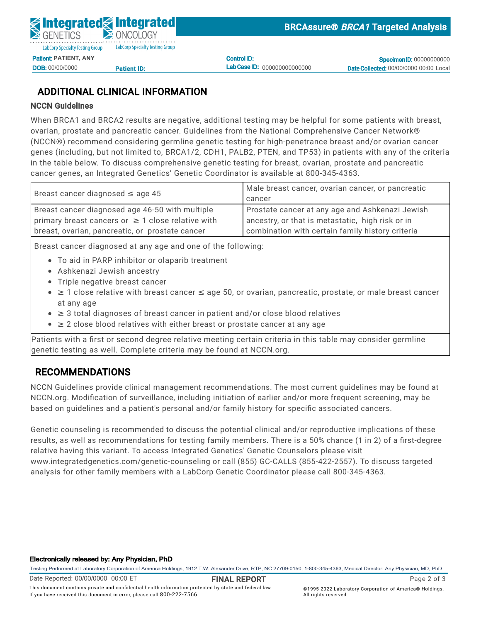

DOB: 00/00/0000

<u>Patient ID:</u>

Control ID: Lab Case ID: 000000000000000

**Specimen ID: 00000000000** Date Collected: 00/00/0000 00:00 Local

## ADDITIONAL CLINICAL INFORMATION

### NCCN Guidelines

When BRCA1 and BRCA2 results are negative, additional testing may be helpful for some patients with breast, ovarian, prostate and pancreatic cancer. Guidelines from the National Comprehensive Cancer Network® (NCCN®) recommend considering germline genetic testing for high-penetrance breast and/or ovarian cancer General Control Communications Patient International Date entered: 05/02/2022 11:54  $D_{1}$ ID:<br>N:112 genes (including, but not limited to, BRCA1/2, CDH1, PALB2, PTEN, and TP53) in patients with any of the criteria<br>. Specimen Type: Whole Blood cancer genes, an Integrated Genetics' Genetic Coordinator is available at 800-345-4363. Clinical Indication: Testing for familial cancer risk variant (s): BRCA1 c.2800C-Testing for familial c.2800Cin the table below. To discuss comprehensive genetic testing for breast, ovarian, prostate and pancreatic

| Breast cancer diagnosed $\leq$ age 45                  | Male breast cancer, ovarian cancer, or pancreatic |
|--------------------------------------------------------|---------------------------------------------------|
|                                                        | cancer                                            |
| Breast cancer diagnosed age 46-50 with multiple        | Prostate cancer at any age and Ashkenazi Jewish   |
| primary breast cancers or $\geq 1$ close relative with | ancestry, or that is metastatic, high risk or in  |
| breast, ovarian, pancreatic, or prostate cancer        | combination with certain family history criteria  |
|                                                        |                                                   |

Breast cancer diagnosed at any age and one of the following:

- To aid in PARP inhibitor or olaparib treatment
- **BRCANN CONSTRUCT COMMUNIST**<br>• Ashkenazi Jewish ancestry
	- Triple negative breast cancer
- $\bullet~\geq$  1 close relative with breast cancer  $\leq$  age 50, or ovarian, pancreatic, prostate, or male breast cancer at any age
- This result increases this individual's risk for cancer. ≥ 3 total diagnoses of breast cancer in patient and/or close blood relatives
- $\bullet$   $\geq$  2 close blood relatives with either breast or prostate cancer at any age

Patients with a first or second degree relative meeting certain criteria in this table may consider germline Cancer Syndrome). This nonsense variant is predicted to result in a predicted to result in a predicted to result in a predicted to result in a predicted to result in a predicted to result in a predicted to result in a prob genetic testing as well. Complete criteria may be found at NCCN.org.  $\hskip20pt\hskip20pt\hskip20pt\hskip20pt\hskip20pt\hskip20pt\hskip20pt\hskip20pt\hskip20pt\hskip20pt\hskip20pt\hskip20pt\hskip20pt\hskip20pt\hskip20pt\hskip20pt\hskip20pt\hskip20pt\hskip20pt\hskip20pt\hskip20pt\hskip20pt\hskip20pt\hskip20pt\hskip20pt\h$ 

### in-house variant classification protocol and in accord with the American College of Medical Genetics' guidelines, RECOMMENDATIONS the commentation for as pathogenic and is associated with an increased risk for her distribution of hereditary breast and increased risk for her distribution of hereditary breast and increased risk for hereditary breast an

NCCN Guidelines provide clinical management recommendations. The most current guidelines may be found at NCCN.org. Modification of surveillance, including initiation of earlier and/or more frequent screening, may be<br>. based on guidelines and a patient's personal and/or family history for specific associated cancers.

analysis for other family members with a LabCorp Genetic Coordinator please call 800-345-4363. cycle control, and genomic stability. Pathogenic variants in these genes are associated with familial cancers, Genetic counseling is recommended to discuss the potential clinical and/or reproductive implications of these ADDITIONAL CLINICAL INFORMATION relative having this variant. To access Integrated Genetics' Genetic Counselors please visit results, as well as recommendations for testing family members. There is a 50% chance (1 in 2) of a first-degree www.integratedgenetics.com/genetic-counseling or call (855) GC-CALLS (855-422-2557). To discuss targeted

#### Electronically released by: Any Physician, PhD

Testing Performed at Laboratory Corporation of America Holdings, 1912 T.W. Alexander Drive, RTP, NC 27709-0150, 1-800-345-4363, Medical Director: Any Physician, MD, PhD